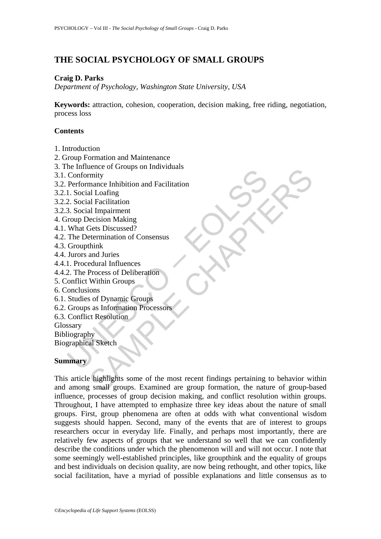# **THE SOCIAL PSYCHOLOGY OF SMALL GROUPS**

## **Craig D. Parks**

*Department of Psychology, Washington State University, USA* 

**Keywords:** attraction, cohesion, cooperation, decision making, free riding, negotiation, process loss

## **Contents**

- 1. Introduction
- 2. Group Formation and Maintenance
- 3. The Influence of Groups on Individuals
- 3.1. Conformity
- Example of Conformity<br>
Conformity<br>
Derformance Inhibition and Facilitation<br>
1. Social Loafing<br>
2. Social Impairment<br>
2. Social Impairment<br>
3. Social Impairment<br>
What Gets Discussed?<br>
The Determination of Consensus<br>
Groupth 3.2. Performance Inhibition and Facilitation
- 3.2.1. Social Loafing
- 3.2.2. Social Facilitation
- 3.2.3. Social Impairment
- 4. Group Decision Making
- 4.1. What Gets Discussed?
- 4.2. The Determination of Consensus
- 4.3. Groupthink
- 4.4. Jurors and Juries
- 4.4.1. Procedural Influences
- 4.4.2. The Process of Deliberation
- 5. Conflict Within Groups
- 6. Conclusions
- 6.1. Studies of Dynamic Groups
- 6.2. Groups as Information Processors
- 6.3. Conflict Resolution
- Glossary

Bibliography

Biographical Sketch

## **Summary**

Example the most recent findings between the most recent finding<br>
and Enciliation<br>
all Loafing<br>
all Canamical Function<br>
all Inpairment<br>
ecision Making<br>
discussed?<br>
think<br>
and Juries<br>
submitted Process of Deliberation<br>
With This article highlights some of the most recent findings pertaining to behavior within and among small groups. Examined are group formation, the nature of group-based influence, processes of group decision making, and conflict resolution within groups. Throughout, I have attempted to emphasize three key ideas about the nature of small groups. First, group phenomena are often at odds with what conventional wisdom suggests should happen. Second, many of the events that are of interest to groups researchers occur in everyday life. Finally, and perhaps most importantly, there are relatively few aspects of groups that we understand so well that we can confidently describe the conditions under which the phenomenon will and will not occur. I note that some seemingly well-established principles, like groupthink and the equality of groups and best individuals on decision quality, are now being rethought, and other topics, like social facilitation, have a myriad of possible explanations and little consensus as to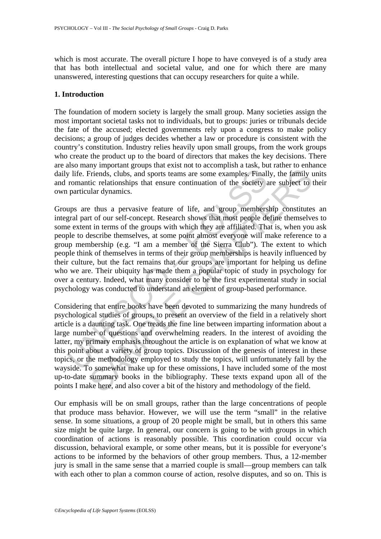which is most accurate. The overall picture I hope to have conveyed is of a study area that has both intellectual and societal value, and one for which there are many unanswered, interesting questions that can occupy researchers for quite a while.

### **1. Introduction**

The foundation of modern society is largely the small group. Many societies assign the most important societal tasks not to individuals, but to groups: juries or tribunals decide the fate of the accused; elected governments rely upon a congress to make policy decisions; a group of judges decides whether a law or procedure is consistent with the country's constitution. Industry relies heavily upon small groups, from the work groups who create the product up to the board of directors that makes the key decisions. There are also many important groups that exist not to accomplish a task, but rather to enhance daily life. Friends, clubs, and sports teams are some examples. Finally, the family units and romantic relationships that ensure continuation of the society are subject to their own particular dynamics.

y life. Friends, clubs, and sports teams are some examples. Finall<br>romantic relationships that ensure continuation of the society a<br>particular dynamics.<br>ups are thus a pervasive feature of life, and group members<br>gral part Eriends, clubs, and sports teams are some examples. Finally, the family tic relationships that ensure continuation of the society are subject to that dynamics.<br>
The that a group membership constitute the society are subjec Groups are thus a pervasive feature of life, and group membership constitutes an integral part of our self-concept. Research shows that most people define themselves to some extent in terms of the groups with which they are affiliated. That is, when you ask people to describe themselves, at some point almost everyone will make reference to a group membership (e.g. "I am a member of the Sierra Club"). The extent to which people think of themselves in terms of their group memberships is heavily influenced by their culture, but the fact remains that our groups are important for helping us define who we are. Their ubiquity has made them a popular topic of study in psychology for over a century. Indeed, what many consider to be the first experimental study in social psychology was conducted to understand an element of group-based performance.

Considering that entire books have been devoted to summarizing the many hundreds of psychological studies of groups, to present an overview of the field in a relatively short article is a daunting task. One treads the fine line between imparting information about a large number of questions and overwhelming readers. In the interest of avoiding the latter, my primary emphasis throughout the article is on explanation of what we know at this point about a variety of group topics. Discussion of the genesis of interest in these topics, or the methodology employed to study the topics, will unfortunately fall by the wayside. To somewhat make up for these omissions, I have included some of the most up-to-date summary books in the bibliography. These texts expand upon all of the points I make here, and also cover a bit of the history and methodology of the field.

Our emphasis will be on small groups, rather than the large concentrations of people that produce mass behavior. However, we will use the term "small" in the relative sense. In some situations, a group of 20 people might be small, but in others this same size might be quite large. In general, our concern is going to be with groups in which coordination of actions is reasonably possible. This coordination could occur via discussion, behavioral example, or some other means, but it is possible for everyone's actions to be informed by the behaviors of other group members. Thus, a 12-member jury is small in the same sense that a married couple is small—group members can talk with each other to plan a common course of action, resolve disputes, and so on. This is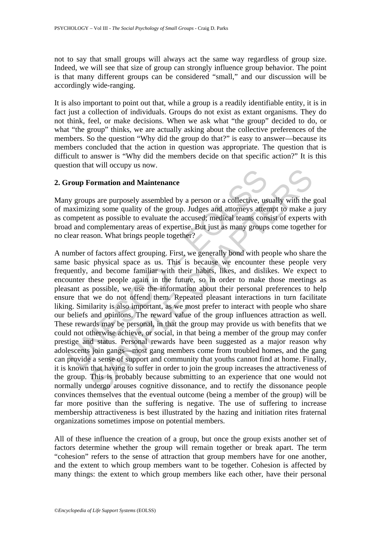not to say that small groups will always act the same way regardless of group size. Indeed, we will see that size of group can strongly influence group behavior. The point is that many different groups can be considered "small," and our discussion will be accordingly wide-ranging.

It is also important to point out that, while a group is a readily identifiable entity, it is in fact just a collection of individuals. Groups do not exist as extant organisms. They do not think, feel, or make decisions. When we ask what "the group" decided to do, or what "the group" thinks, we are actually asking about the collective preferences of the members. So the question "Why did the group do that?" is easy to answer—because its members concluded that the action in question was appropriate. The question that is difficult to answer is "Why did the members decide on that specific action?" It is this question that will occupy us now.

## **2. Group Formation and Maintenance**

Many groups are purposely assembled by a person or a collective, usually with the goal of maximizing some quality of the group. Judges and attorneys attempt to make a jury as competent as possible to evaluate the accused; medical teams consist of experts with broad and complementary areas of expertise. But just as many groups come together for no clear reason. What brings people together?

**Example 18 To the Scott Scott Scott**<br>Transmission and Maintenance<br>wy groups are purposely assembled by a person or a collective, us<br>aaximizing some quality of the group. Judges and attorneys atter<br>competent as possible to Formation and Maintenance<br>ps are purposely assembled by a person or a collective, usually with the<br>ring some quality of the group. Judges and attomeys attempt to make a<br>nti as possible to evaluate the accused; medical team A number of factors affect grouping. First, we generally bond with people who share the same basic physical space as us. This is because we encounter these people very frequently, and become familiar with their habits, likes, and dislikes. We expect to encounter these people again in the future, so in order to make those meetings as pleasant as possible, we use the information about their personal preferences to help ensure that we do not offend them. Repeated pleasant interactions in turn facilitate liking. Similarity is also important, as we most prefer to interact with people who share our beliefs and opinions. The reward value of the group influences attraction as well. These rewards may be personal, in that the group may provide us with benefits that we could not otherwise achieve, or social, in that being a member of the group may confer prestige and status. Personal rewards have been suggested as a major reason why adolescents join gangs—most gang members come from troubled homes, and the gang can provide a sense of support and community that youths cannot find at home. Finally, it is known that having to suffer in order to join the group increases the attractiveness of the group. This is probably because submitting to an experience that one would not normally undergo arouses cognitive dissonance, and to rectify the dissonance people convinces themselves that the eventual outcome (being a member of the group) will be far more positive than the suffering is negative. The use of suffering to increase membership attractiveness is best illustrated by the hazing and initiation rites fraternal organizations sometimes impose on potential members.

All of these influence the creation of a group, but once the group exists another set of factors determine whether the group will remain together or break apart. The term "cohesion" refers to the sense of attraction that group members have for one another, and the extent to which group members want to be together. Cohesion is affected by many things: the extent to which group members like each other, have their personal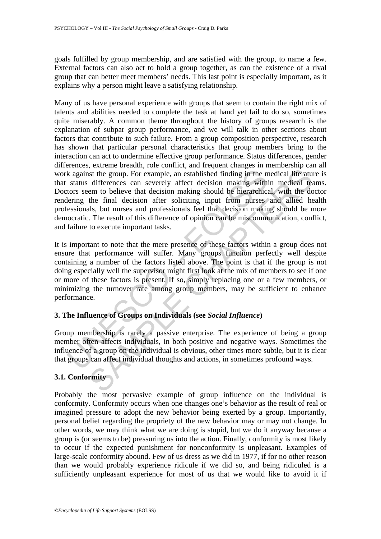goals fulfilled by group membership, and are satisfied with the group, to name a few. External factors can also act to hold a group together, as can the existence of a rival group that can better meet members' needs. This last point is especially important, as it explains why a person might leave a satisfying relationship.

k against the group. For example, an established finding in the n<br>status differences can severely affect decision making with<br>tors seem to believe that decision making should be hierarchic:<br>lering the final decision after is the group. For example, an established finding in the medical liferature differences can severely affect decision making within medical liferature differences can severely affect decision making within medical team to b Many of us have personal experience with groups that seem to contain the right mix of talents and abilities needed to complete the task at hand yet fail to do so, sometimes quite miserably. A common theme throughout the history of groups research is the explanation of subpar group performance, and we will talk in other sections about factors that contribute to such failure. From a group composition perspective, research has shown that particular personal characteristics that group members bring to the interaction can act to undermine effective group performance. Status differences, gender differences, extreme breadth, role conflict, and frequent changes in membership can all work against the group. For example, an established finding in the medical literature is that status differences can severely affect decision making within medical teams. Doctors seem to believe that decision making should be hierarchical, with the doctor rendering the final decision after soliciting input from nurses and allied health professionals, but nurses and professionals feel that decision making should be more democratic. The result of this difference of opinion can be miscommunication, conflict, and failure to execute important tasks.

It is important to note that the mere presence of these factors within a group does not ensure that performance will suffer. Many groups function perfectly well despite containing a number of the factors listed above. The point is that if the group is not doing especially well the supervisor might first look at the mix of members to see if one or more of these factors is present. If so, simply replacing one or a few members, or minimizing the turnover rate among group members, may be sufficient to enhance performance.

## **3. The Influence of Groups on Individuals (see** *Social Influence***)**

Group membership is rarely a passive enterprise. The experience of being a group member often affects individuals, in both positive and negative ways. Sometimes the influence of a group on the individual is obvious, other times more subtle, but it is clear that groups can affect individual thoughts and actions, in sometimes profound ways.

## **3.1. Conformity**

Probably the most pervasive example of group influence on the individual is conformity. Conformity occurs when one changes one's behavior as the result of real or imagined pressure to adopt the new behavior being exerted by a group. Importantly, personal belief regarding the propriety of the new behavior may or may not change. In other words, we may think what we are doing is stupid, but we do it anyway because a group is (or seems to be) pressuring us into the action. Finally, conformity is most likely to occur if the expected punishment for nonconformity is unpleasant. Examples of large-scale conformity abound. Few of us dress as we did in 1977, if for no other reason than we would probably experience ridicule if we did so, and being ridiculed is a sufficiently unpleasant experience for most of us that we would like to avoid it if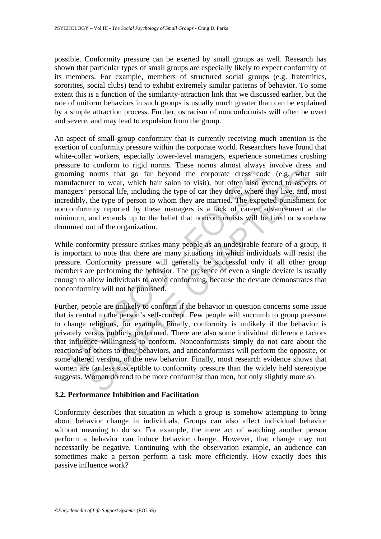possible. Conformity pressure can be exerted by small groups as well. Research has shown that particular types of small groups are especially likely to expect conformity of its members. For example, members of structured social groups (e.g. fraternities, sororities, social clubs) tend to exhibit extremely similar patterns of behavior. To some extent this is a function of the similarity-attraction link that we discussed earlier, but the rate of uniform behaviors in such groups is usually much greater than can be explained by a simple attraction process. Further, ostracism of nonconformists will often be overt and severe, and may lead to expulsion from the group.

An aspect of small-group conformity that is currently receiving much attention is the exertion of conformity pressure within the corporate world. Researchers have found that white-collar workers, especially lower-level managers, experience sometimes crushing pressure to conform to rigid norms. These norms almost always involve dress and grooming norms that go far beyond the corporate dress code (e.g. what suit manufacturer to wear, which hair salon to visit), but often also extend to aspects of managers' personal life, including the type of car they drive, where they live, and, most incredibly, the type of person to whom they are married. The expected punishment for nonconformity reported by these managers is a lack of career advancement at the minimum, and extends up to the belief that nonconformists will be fired or somehow drummed out of the organization.

While conformity pressure strikes many people as an undesirable feature of a group, it is important to note that there are many situations in which individuals will resist the pressure. Conformity pressure will generally be successful only if all other group members are performing the behavior. The presence of even a single deviate is usually enough to allow individuals to avoid conforming, because the deviate demonstrates that nonconformity will not be punished.

ming norms that go far beyond the corporate dress codufacturer to wear, which hair salon to visit), but often also ex<br>usfacturer to wear, which hair salon to visit), but often also ex<br>agers' personal life, including the ty norms that go far beyond the corporate dress code (e.g., what<br>rer to wear, which hair salon to visit), but often also extend to aspect<br>personal life, including the type of car they drive, where they live, and,<br>the type of Further, people are unlikely to conform if the behavior in question concerns some issue that is central to the person's self-concept. Few people will succumb to group pressure to change religions, for example. Finally, conformity is unlikely if the behavior is privately versus publicly performed. There are also some individual difference factors that influence willingness to conform. Nonconformists simply do not care about the reactions of others to their behaviors, and anticonformists will perform the opposite, or some altered version, of the new behavior. Finally, most research evidence shows that women are far less susceptible to conformity pressure than the widely held stereotype suggests. Women do tend to be more conformist than men, but only slightly more so.

### **3.2. Performance Inhibition and Facilitation**

Conformity describes that situation in which a group is somehow attempting to bring about behavior change in individuals. Groups can also affect individual behavior without meaning to do so. For example, the mere act of watching another person perform a behavior can induce behavior change. However, that change may not necessarily be negative. Continuing with the observation example, an audience can sometimes make a person perform a task more efficiently. How exactly does this passive influence work?